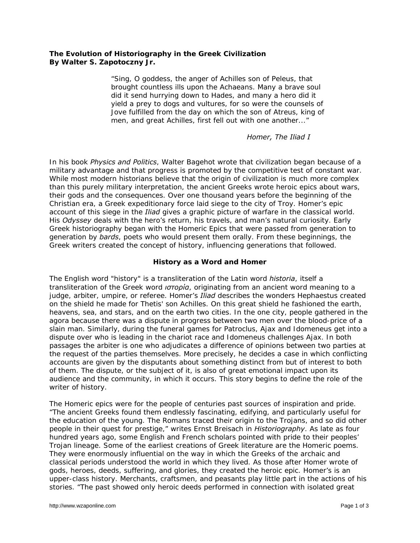# **The Evolution of Historiography in the Greek Civilization By Walter S. Zapotoczny Jr.**

"Sing, O goddess, the anger of Achilles son of Peleus, that brought countless ills upon the Achaeans. Many a brave soul did it send hurrying down to Hades, and many a hero did it yield a prey to dogs and vultures, for so were the counsels of Jove fulfilled from the day on which the son of Atreus, king of men, and great Achilles, first fell out with one another..."

### *Homer, The Iliad I*

In his book *Physics and Politics*, Walter Bagehot wrote that civilization began because of a military advantage and that progress is promoted by the competitive test of constant war. While most modern historians believe that the origin of civilization is much more complex than this purely military interpretation, the ancient Greeks wrote heroic epics about wars, their gods and the consequences. Over one thousand years before the beginning of the Christian era, a Greek expeditionary force laid siege to the city of Troy. Homer's epic account of this siege in the *Iliad* gives a graphic picture of warfare in the classical world. His *Odyssey* deals with the hero's return, his travels, and man's natural curiosity. Early Greek historiography began with the Homeric Epics that were passed from generation to generation by *bards*, poets who would present them orally. From these beginnings, the Greek writers created the concept of history, influencing generations that followed.

# **History as a Word and Homer**

The English word "history" is a transliteration of the Latin word *historia*, itself a transliteration of the Greek word *ιστορία*, originating from an ancient word meaning to a judge, arbiter, umpire, or referee. Homer's *Iliad* describes the wonders Hephaestus created on the shield he made for Thetis' son Achilles. On this great shield he fashioned the earth, heavens, sea, and stars, and on the earth two cities. In the one city, people gathered in the agora because there was a dispute in progress between two men over the blood-price of a slain man. Similarly, during the funeral games for Patroclus, Ajax and Idomeneus get into a dispute over who is leading in the chariot race and Idomeneus challenges Ajax. In both passages the arbiter is one who adjudicates a difference of opinions between two parties at the request of the parties themselves. More precisely, he decides a case in which conflicting accounts are given by the disputants about something distinct from but of interest to both of them. The dispute, or the subject of it, is also of great emotional impact upon its audience and the community, in which it occurs. This story begins to define the role of the writer of history.

The Homeric epics were for the people of centuries past sources of inspiration and pride. "The ancient Greeks found them endlessly fascinating, edifying, and particularly useful for the education of the young. The Romans traced their origin to the Trojans, and so did other people in their quest for prestige," writes Ernst Breisach in *Historiography*. As late as four hundred years ago, some English and French scholars pointed with pride to their peoples' Trojan lineage. Some of the earliest creations of Greek literature are the Homeric poems. They were enormously influential on the way in which the Greeks of the archaic and classical periods understood the world in which they lived. As those after Homer wrote of gods, heroes, deeds, suffering, and glories, they created the heroic epic. Homer's is an upper-class history. Merchants, craftsmen, and peasants play little part in the actions of his stories. "The past showed only heroic deeds performed in connection with isolated great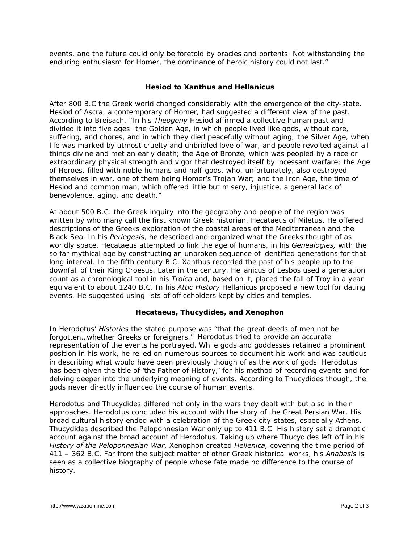events, and the future could only be foretold by oracles and portents. Not withstanding the enduring enthusiasm for Homer, the dominance of heroic history could not last."

### **Hesiod to Xanthus and Hellanicus**

After 800 B.C the Greek world changed considerably with the emergence of the city-state. Hesiod of Ascra, a contemporary of Homer, had suggested a different view of the past. According to Breisach, "In his *Theogony* Hesiod affirmed a collective human past and divided it into five ages: the Golden Age, in which people lived like gods, without care, suffering, and chores, and in which they died peacefully without aging; the Silver Age, when life was marked by utmost cruelty and unbridled love of war, and people revolted against all things divine and met an early death; the Age of Bronze, which was peopled by a race or extraordinary physical strength and vigor that destroyed itself by incessant warfare; the Age of Heroes, filled with noble humans and half-gods, who, unfortunately, also destroyed themselves in war, one of them being Homer's Trojan War; and the Iron Age, the time of Hesiod and common man, which offered little but misery, injustice, a general lack of benevolence, aging, and death."

At about 500 B.C. the Greek inquiry into the geography and people of the region was written by who many call the first known Greek historian, Hecataeus of Miletus. He offered descriptions of the Greeks exploration of the coastal areas of the Mediterranean and the Black Sea. In his *Periegesis*, he described and organized what the Greeks thought of as worldly space. Hecataeus attempted to link the age of humans, in his *Genealogies,* with the so far mythical age by constructing an unbroken sequence of identified generations for that long interval. In the fifth century B.C. Xanthus recorded the past of his people up to the downfall of their King Croesus. Later in the century, Hellanicus of Lesbos used a generation count as a chronological tool in his *Troica* and, based on it, placed the fall of Troy in a year equivalent to about 1240 B.C. In his *Attic History* Hellanicus proposed a new tool for dating events. He suggested using lists of officeholders kept by cities and temples.

#### **Hecataeus, Thucydides, and Xenophon**

In Herodotus' *Histories* the stated purpose was "that the great deeds of men not be forgotten…whether Greeks or foreigners." Herodotus tried to provide an accurate representation of the events he portrayed. While gods and goddesses retained a prominent position in his work, he relied on numerous sources to document his work and was cautious in describing what would have been previously though of as the work of gods. Herodotus has been given the title of 'the Father of History,' for his method of recording events and for delving deeper into the underlying meaning of events. According to Thucydides though, the gods never directly influenced the course of human events.

Herodotus and Thucydides differed not only in the wars they dealt with but also in their approaches. Herodotus concluded his account with the story of the Great Persian War. His broad cultural history ended with a celebration of the Greek city-states, especially Athens. Thucydides described the Peloponnesian War only up to 411 B.C. His history set a dramatic account against the broad account of Herodotus. Taking up where Thucydides left off in his *History of the Peloponnesian War*, Xenophon created *Hellenica,* covering the time period of 411 – 362 B.C. Far from the subject matter of other Greek historical works, his *Anabasis* is seen as a collective biography of people whose fate made no difference to the course of history.